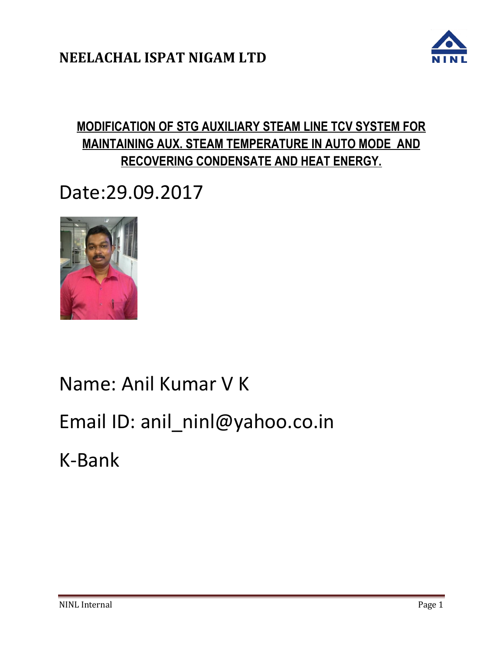

## **MODIFICATION OF STG AUXILIARY STEAM LINE TCV SYSTEM FOR MAINTAINING AUX. STEAM TEMPERATURE IN AUTO MODE AND RECOVERING CONDENSATE AND HEAT ENERGY.**

# Date:29.09.2017



# Name: Anil Kumar V K

# Email ID: anil\_ninl@yahoo.co.in

K-Bank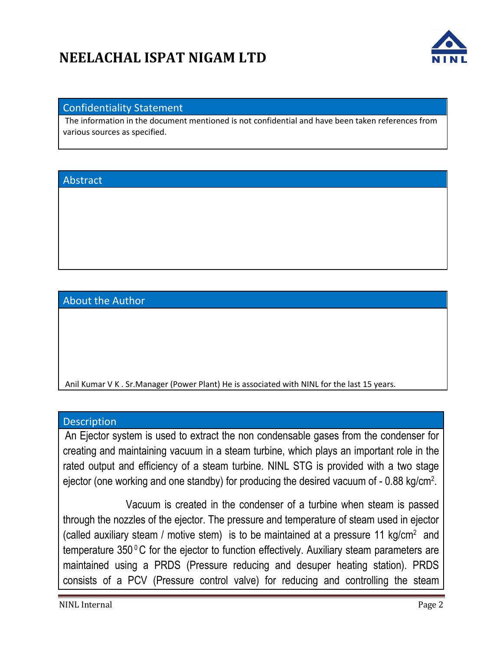

#### Confidentiality Statement

The information in the document mentioned is not confidential and have been taken references from various sources as specified.

#### Abstract

About the Author

Anil Kumar V K . Sr.Manager (Power Plant) He is associated with NINL for the last 15 years.

#### **Description**

An Ejector system is used to extract the non condensable gases from the condenser for creating and maintaining vacuum in a steam turbine, which plays an important role in the rated output and efficiency of a steam turbine. NINL STG is provided with a two stage ejector (one working and one standby) for producing the desired vacuum of  $-0.88$  kg/cm<sup>2</sup>.

 Vacuum is created in the condenser of a turbine when steam is passed through the nozzles of the ejector. The pressure and temperature of steam used in ejector (called auxiliary steam / motive stem) is to be maintained at a pressure 11 kg/cm<sup>2</sup> and temperature  $350\,^{\circ}$ C for the ejector to function effectively. Auxiliary steam parameters are maintained using a PRDS (Pressure reducing and desuper heating station). PRDS consists of a PCV (Pressure control valve) for reducing and controlling the steam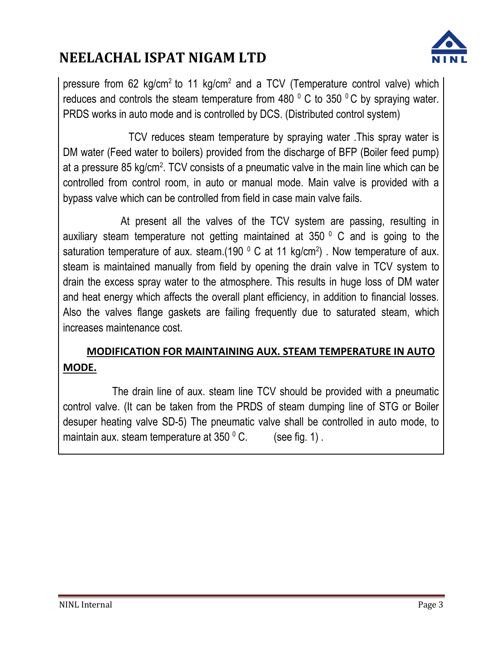

pressure from 62 kg/cm<sup>2</sup> to 11 kg/cm<sup>2</sup> and a TCV (Temperature control valve) which reduces and controls the steam temperature from 480  $^{\circ}$  C to 350  $^{\circ}$ C by spraying water. PRDS works in auto mode and is controlled by DCS. (Distributed control system)

 TCV reduces steam temperature by spraying water .This spray water is DM water (Feed water to boilers) provided from the discharge of BFP (Boiler feed pump) at a pressure 85 kg/cm<sup>2</sup>. TCV consists of a pneumatic valve in the main line which can be controlled from control room, in auto or manual mode. Main valve is provided with a bypass valve which can be controlled from field in case main valve fails.

 At present all the valves of the TCV system are passing, resulting in auxiliary steam temperature not getting maintained at 350 $^{\circ}$  C and is going to the saturation temperature of aux. steam.(190  $\textdegree$  C at 11 kg/cm<sup>2</sup>). Now temperature of aux. steam is maintained manually from field by opening the drain valve in TCV system to drain the excess spray water to the atmosphere. This results in huge loss of DM water and heat energy which affects the overall plant efficiency, in addition to financial losses. Also the valves flange gaskets are failing frequently due to saturated steam, which increases maintenance cost.

### **MODIFICATION FOR MAINTAINING AUX. STEAM TEMPERATURE IN AUTO MODE.**

 The drain line of aux. steam line TCV should be provided with a pneumatic control valve. (It can be taken from the PRDS of steam dumping line of STG or Boiler desuper heating valve SD-5) The pneumatic valve shall be controlled in auto mode, to maintain aux. steam temperature at  $350\degree$  C. (see fig. 1).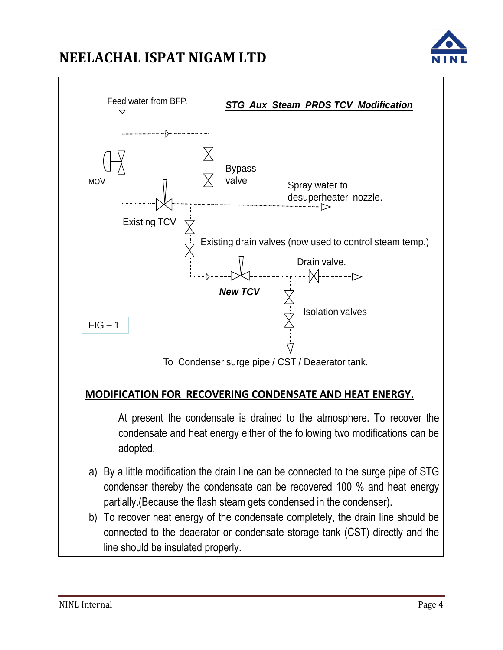



connected to the deaerator or condensate storage tank (CST) directly and the line should be insulated properly.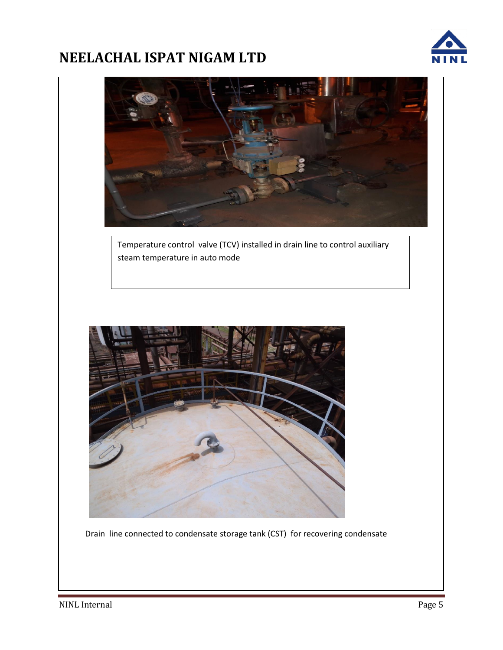

Temperature control valve (TCV) installed in drain line to control auxiliary steam temperature in auto mode



Drain line connected to condensate storage tank (CST) for recovering condensate